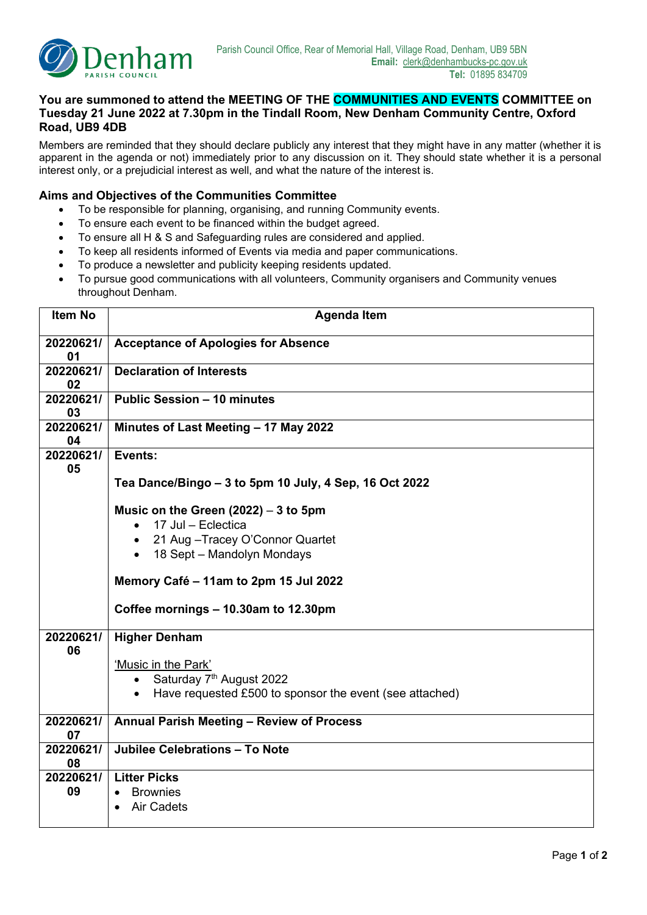

## **You are summoned to attend the MEETING OF THE COMMUNITIES AND EVENTS COMMITTEE on Tuesday 21 June 2022 at 7.30pm in the Tindall Room, New Denham Community Centre, Oxford Road, UB9 4DB**

Members are reminded that they should declare publicly any interest that they might have in any matter (whether it is apparent in the agenda or not) immediately prior to any discussion on it. They should state whether it is a personal interest only, or a prejudicial interest as well, and what the nature of the interest is.

## **Aims and Objectives of the Communities Committee**

- To be responsible for planning, organising, and running Community events.
- To ensure each event to be financed within the budget agreed.
- To ensure all H & S and Safeguarding rules are considered and applied.
- To keep all residents informed of Events via media and paper communications.
- To produce a newsletter and publicity keeping residents updated.
- To pursue good communications with all volunteers, Community organisers and Community venues throughout Denham.

| <b>Item No</b>  | <b>Agenda Item</b>                                                                                                        |  |  |  |  |
|-----------------|---------------------------------------------------------------------------------------------------------------------------|--|--|--|--|
| 20220621/<br>01 | <b>Acceptance of Apologies for Absence</b>                                                                                |  |  |  |  |
| 20220621/<br>02 | <b>Declaration of Interests</b>                                                                                           |  |  |  |  |
| 20220621/<br>03 | <b>Public Session - 10 minutes</b>                                                                                        |  |  |  |  |
| 20220621/<br>04 | Minutes of Last Meeting - 17 May 2022                                                                                     |  |  |  |  |
| 20220621/<br>05 | Events:                                                                                                                   |  |  |  |  |
|                 | Tea Dance/Bingo - 3 to 5pm 10 July, 4 Sep, 16 Oct 2022                                                                    |  |  |  |  |
|                 | Music on the Green $(2022) - 3$ to 5pm<br>17 Jul - Eclectica<br>$\bullet$                                                 |  |  |  |  |
|                 | • 21 Aug - Tracey O'Connor Quartet                                                                                        |  |  |  |  |
|                 | • 18 Sept - Mandolyn Mondays                                                                                              |  |  |  |  |
|                 | Memory Café - 11am to 2pm 15 Jul 2022                                                                                     |  |  |  |  |
|                 | Coffee mornings - 10.30am to 12.30pm                                                                                      |  |  |  |  |
| 20220621/<br>06 | <b>Higher Denham</b>                                                                                                      |  |  |  |  |
|                 | 'Music in the Park'                                                                                                       |  |  |  |  |
|                 | Saturday 7 <sup>th</sup> August 2022<br>$\bullet$<br>Have requested £500 to sponsor the event (see attached)<br>$\bullet$ |  |  |  |  |
|                 |                                                                                                                           |  |  |  |  |
| 20220621/<br>07 | Annual Parish Meeting - Review of Process                                                                                 |  |  |  |  |
| 20220621/<br>08 | Jubilee Celebrations - To Note                                                                                            |  |  |  |  |
| 20220621/       | <b>Litter Picks</b>                                                                                                       |  |  |  |  |
| 09              | <b>Brownies</b><br>$\bullet$<br><b>Air Cadets</b>                                                                         |  |  |  |  |